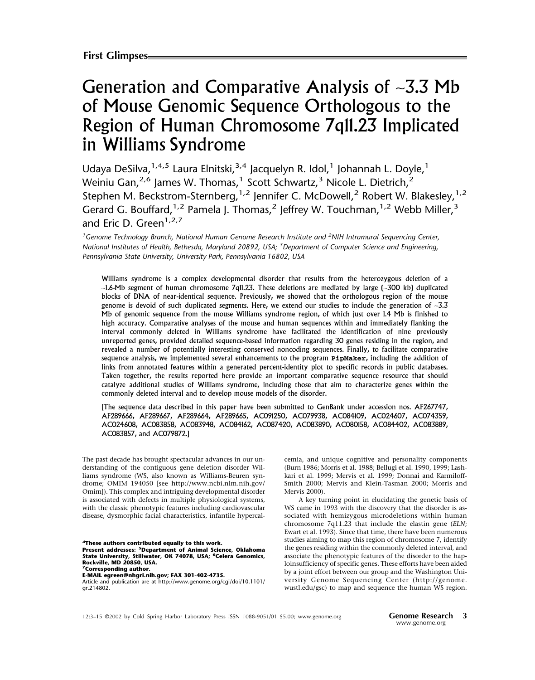# Generation and Comparative Analysis of ∼3.3 Mb of Mouse Genomic Sequence Orthologous to the Region of Human Chromosome 7q11.23 Implicated in Williams Syndrome

Udaya DeSilva,  $1,4,5$  Laura Elnitski,  $3,4$  Jacquelyn R. Idol, <sup>1</sup> Johannah L. Doyle, <sup>1</sup> Weiniu Gan,<sup>2,6</sup> James W. Thomas,<sup>1</sup> Scott Schwartz,<sup>3</sup> Nicole L. Dietrich,<sup>2</sup> Stephen M. Beckstrom-Sternberg,<sup>1,2</sup> Jennifer C. McDowell,<sup>2</sup> Robert W. Blakesley,<sup>1,2</sup> Gerard G. Bouffard,<sup>1,2</sup> Pamela J. Thomas,<sup>2</sup> Jeffrey W. Touchman,<sup>1,2</sup> Webb Miller,<sup>3</sup> and Fric D. Green<sup>1,2,7</sup>

*1 Genome Technology Branch, National Human Genome Research Institute and <sup>2</sup> NIH Intramural Sequencing Center, National Institutes of Health, Bethesda, Maryland 20892, USA; <sup>3</sup> Department of Computer Science and Engineering, Pennsylvania State University, University Park, Pennsylvania 16802, USA*

Williams syndrome is a complex developmental disorder that results from the heterozygous deletion of a ∼1.6-Mb segment of human chromosome 7q11.23. These deletions are mediated by large (∼300 kb) duplicated blocks of DNA of near-identical sequence. Previously, we showed that the orthologous region of the mouse genome is devoid of such duplicated segments. Here, we extend our studies to include the generation of ∼3.3 Mb of genomic sequence from the mouse Williams syndrome region, of which just over 1.4 Mb is finished to high accuracy. Comparative analyses of the mouse and human sequences within and immediately flanking the interval commonly deleted in Williams syndrome have facilitated the identification of nine previously unreported genes, provided detailed sequence-based information regarding 30 genes residing in the region, and revealed a number of potentially interesting conserved noncoding sequences. Finally, to facilitate comparative sequence analysis, we implemented several enhancements to the program **PipMaker**, including the addition of links from annotated features within a generated percent-identity plot to specific records in public databases. Taken together, the results reported here provide an important comparative sequence resource that should catalyze additional studies of Williams syndrome, including those that aim to characterize genes within the commonly deleted interval and to develop mouse models of the disorder.

[The sequence data described in this paper have been submitted to GenBank under accession nos. AF267747, AF289666, AF289667, AF289664, AF289665, AC091250, AC079938, AC084109, AC024607, AC074359, AC024608, AC083858, AC083948, AC084162, AC087420, AC083890, AC080158, AC084402, AC083889, AC083857, and AC079872.]

The past decade has brought spectacular advances in our understanding of the contiguous gene deletion disorder Williams syndrome (WS, also known as Williams-Beuren syndrome; OMIM 194050 [see http://www.ncbi.nlm.nih.gov/ Omim]). This complex and intriguing developmental disorder is associated with defects in multiple physiological systems, with the classic phenotypic features including cardiovascular disease, dysmorphic facial characteristics, infantile hypercal-

**4These authors contributed equally to this work. Present addresses: 5Department of Animal Science, Oklahoma State University, Stillwater, OK 74078, USA; 6Celera Genomics, Rockville, MD 20850, USA. 7Corresponding author.**

**E-MAIL egreen@nhgri.nih.gov; FAX 301-402-4735.**

Article and publication are at http://www.genome.org/cgi/doi/10.1101/ gr.214802.

cemia, and unique cognitive and personality components (Burn 1986; Morris et al. 1988; Bellugi et al. 1990, 1999; Lashkari et al. 1999; Mervis et al. 1999; Donnai and Karmiloff-Smith 2000; Mervis and Klein-Tasman 2000; Morris and Mervis 2000).

A key turning point in elucidating the genetic basis of WS came in 1993 with the discovery that the disorder is associated with hemizygous microdeletions within human chromosome 7q11.23 that include the elastin gene (*ELN*; Ewart et al. 1993). Since that time, there have been numerous studies aiming to map this region of chromosome 7, identify the genes residing within the commonly deleted interval, and associate the phenotypic features of the disorder to the haploinsufficiency of specific genes. These efforts have been aided by a joint effort between our group and the Washington University Genome Sequencing Center (http://genome. wustl.edu/gsc) to map and sequence the human WS region.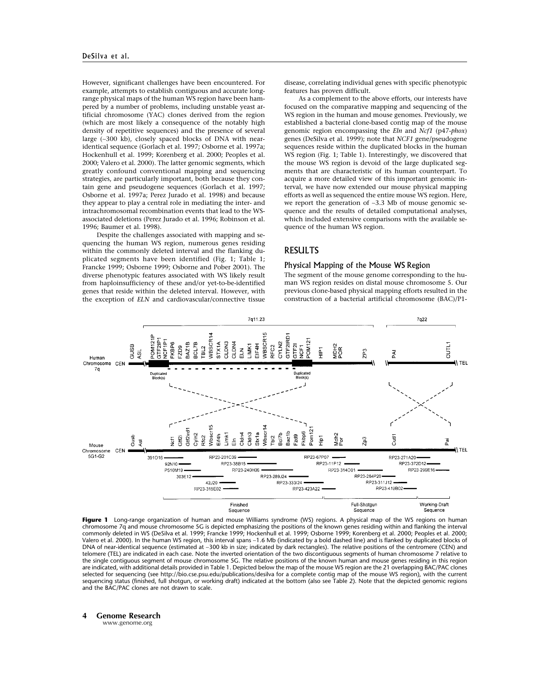However, significant challenges have been encountered. For example, attempts to establish contiguous and accurate longrange physical maps of the human WS region have been hampered by a number of problems, including unstable yeast artificial chromosome (YAC) clones derived from the region (which are most likely a consequence of the notably high density of repetitive sequences) and the presence of several large (∼300 kb), closely spaced blocks of DNA with nearidentical sequence (Gorlach et al. 1997; Osborne et al. 1997a; Hockenhull et al. 1999; Korenberg et al. 2000; Peoples et al. 2000; Valero et al. 2000). The latter genomic segments, which greatly confound conventional mapping and sequencing strategies, are particularly important, both because they contain gene and pseudogene sequences (Gorlach et al. 1997; Osborne et al. 1997a; Perez Jurado et al. 1998) and because they appear to play a central role in mediating the inter- and intrachromosomal recombination events that lead to the WSassociated deletions (Perez Jurado et al. 1996; Robinson et al. 1996; Baumer et al. 1998).

Despite the challenges associated with mapping and sequencing the human WS region, numerous genes residing within the commonly deleted interval and the flanking duplicated segments have been identified (Fig. 1; Table 1; Francke 1999; Osborne 1999; Osborne and Pober 2001). The diverse phenotypic features associated with WS likely result from haploinsufficiency of these and/or yet-to-be-identified genes that reside within the deleted interval. However, with the exception of *ELN* and cardiovascular/connective tissue disease, correlating individual genes with specific phenotypic features has proven difficult.

As a complement to the above efforts, our interests have focused on the comparative mapping and sequencing of the WS region in the human and mouse genomes. Previously, we established a bacterial clone-based contig map of the mouse genomic region encompassing the *Eln* and *Ncf1* (p47-*phox*) genes (DeSilva et al. 1999); note that *NCF1* gene/pseudogene sequences reside within the duplicated blocks in the human WS region (Fig. 1; Table 1). Interestingly, we discovered that the mouse WS region is devoid of the large duplicated segments that are characteristic of its human counterpart. To acquire a more detailed view of this important genomic interval, we have now extended our mouse physical mapping efforts as well as sequenced the entire mouse WS region. Here, we report the generation of ∼3.3 Mb of mouse genomic sequence and the results of detailed computational analyses, which included extensive comparisons with the available sequence of the human WS region.

## RESULTS

#### Physical Mapping of the Mouse WS Region

The segment of the mouse genome corresponding to the human WS region resides on distal mouse chromosome 5. Our previous clone-based physical mapping efforts resulted in the construction of a bacterial artificial chromosome (BAC)/P1-



**Figure 1** Long-range organization of human and mouse Williams syndrome (WS) regions. A physical map of the WS regions on human chromosome 7q and mouse chromosome 5G is depicted emphasizing the positions of the known genes residing within and flanking the interval commonly deleted in WS (DeSilva et al. 1999; Francke 1999; Hockenhull et al. 1999; Osborne 1999; Korenberg et al. 2000; Peoples et al. 2000; Valero et al. 2000). In the human WS region, this interval spans ∼1.6 Mb (indicated by a bold dashed line) and is flanked by duplicated blocks of DNA of near-identical sequence (estimated at ∼300 kb in size; indicated by dark rectangles). The relative positions of the centromere (CEN) and telomere (TEL) are indicated in each case. Note the inverted orientation of the two discontiguous segments of human chromosome 7 relative to the single contiguous segment of mouse chromosome 5G. The relative positions of the known human and mouse genes residing in this region are indicated, with additional details provided in Table 1. Depicted below the map of the mouse WS region are the 21 overlapping BAC/PAC clones selected for sequencing (see http://bio.cse.psu.edu/publications/desilva for a complete contig map of the mouse WS region), with the current sequencing status (finished, full shotgun, or working draft) indicated at the bottom (also see Table 2). Note that the depicted genomic regions and the BAC/PAC clones are not drawn to scale.

# **4 Genome Research**

www.genome.org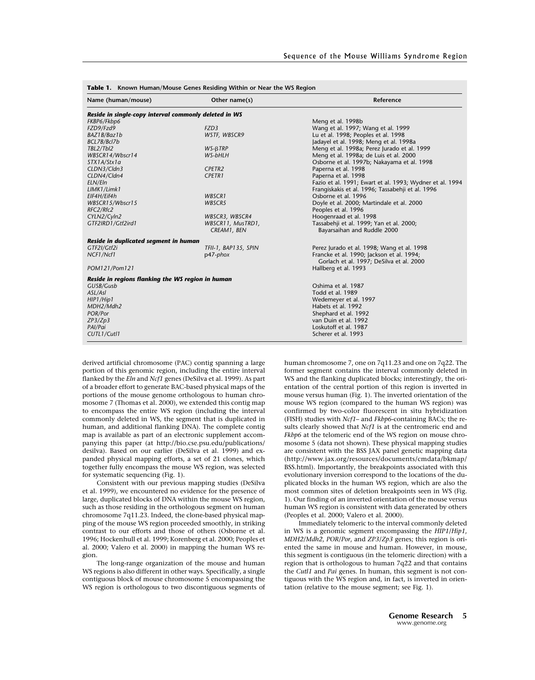| Name (human/mouse)                                    | Other name(s)        | Reference                                                |  |
|-------------------------------------------------------|----------------------|----------------------------------------------------------|--|
| Reside in single-copy interval commonly deleted in WS |                      |                                                          |  |
| FKBP6/Fkbp6                                           |                      | Meng et al. 1998b                                        |  |
| FZD9/Fzd9                                             | FZD3                 | Wang et al. 1997; Wang et al. 1999                       |  |
| BAZ1B/Baz1b                                           | WSTF, WBSCR9         | Lu et al. 1998; Peoples et al. 1998                      |  |
| BCL7B/Bcl7b                                           |                      | Jadayel et al. 1998; Meng et al. 1998a                   |  |
| TBL2/Tbl2                                             | $WS-BTRP$            | Meng et al. 1998a; Perez Jurado et al. 1999              |  |
| WBSCR14/Wbscr14                                       | WS-bHLH              | Meng et al. 1998a; de Luis et al. 2000                   |  |
| STX1A/Stx1a                                           |                      | Osborne et al. 1997b; Nakayama et al. 1998               |  |
| CLDN3/Cldn3                                           | CPETR2               | Paperna et al. 1998                                      |  |
| CLDN4/Cldn4                                           | <b>CPETR1</b>        | Paperna et al. 1998                                      |  |
| ELN/Eln                                               |                      | Fazio et al. 1991; Ewart et al. 1993; Wydner et al. 1994 |  |
| LIMK1/Limk1                                           |                      | Frangiskakis et al. 1996; Tassabehji et al. 1996         |  |
| EIF4H/Eif4h                                           | WBSCR1               | Osborne et al. 1996                                      |  |
| WBSCR15/Wbscr15                                       | WBSCR5               | Doyle et al. 2000; Martindale et al. 2000                |  |
| RFC2/Rfc2                                             |                      | Peoples et al. 1996                                      |  |
| CYLN2/Cyln2                                           | WBSCR3, WBSCR4       | Hoogenraad et al. 1998                                   |  |
| GTF2IRD1/Gtf2ird1                                     | WBSCR11, MusTRD1,    | Tassabehji et al. 1999; Yan et al. 2000;                 |  |
|                                                       | CREAM1, BEN          | Bayarsaihan and Ruddle 2000                              |  |
| Reside in duplicated segment in human                 |                      |                                                          |  |
| GTF2I/Gtf2i                                           | TFII-1, BAP135, SPIN | Perez Jurado et al. 1998; Wang et al. 1998               |  |
| NCF1/Ncf1                                             | $p47$ -phox          | Francke et al. 1990; Jackson et al. 1994;                |  |
|                                                       |                      | Gorlach et al. 1997; DeSilva et al. 2000                 |  |
| POM121/Pom121                                         |                      | Hallberg et al. 1993                                     |  |
| Reside in regions flanking the WS region in human     |                      |                                                          |  |
| GUSB/Gusb                                             |                      | Oshima et al. 1987                                       |  |
| ASL/Asl                                               |                      | Todd et al. 1989                                         |  |
| HIP1/Hip1                                             |                      | Wedemeyer et al. 1997                                    |  |
| MDH2/Mdh2                                             |                      | Habets et al. 1992                                       |  |
| POR/Por                                               |                      | Shephard et al. 1992                                     |  |
| ZP3/Zp3                                               |                      | van Duin et al. 1992                                     |  |
| PAI/Pai                                               |                      | Loskutoff et al. 1987                                    |  |
| CUTL1/Cutl1                                           |                      | Scherer et al. 1993                                      |  |

portion of this genomic region, including the entire interval flanked by the *Eln* and *Ncf1* genes (DeSilva et al. 1999). As part of a broader effort to generate BAC-based physical maps of the portions of the mouse genome orthologous to human chromosome 7 (Thomas et al. 2000), we extended this contig map to encompass the entire WS region (including the interval commonly deleted in WS, the segment that is duplicated in human, and additional flanking DNA). The complete contig map is available as part of an electronic supplement accompanying this paper (at http://bio.cse.psu.edu/publications/ desilva). Based on our earlier (DeSilva et al. 1999) and expanded physical mapping efforts, a set of 21 clones, which together fully encompass the mouse WS region, was selected for systematic sequencing (Fig. 1).

derived artificial chromosome (PAC) contig spanning a large

Consistent with our previous mapping studies (DeSilva et al. 1999), we encountered no evidence for the presence of large, duplicated blocks of DNA within the mouse WS region, such as those residing in the orthologous segment on human chromosome 7q11.23. Indeed, the clone-based physical mapping of the mouse WS region proceeded smoothly, in striking contrast to our efforts and those of others (Osborne et al. 1996; Hockenhull et al. 1999; Korenberg et al. 2000; Peoples et al. 2000; Valero et al. 2000) in mapping the human WS region.

The long-range organization of the mouse and human WS regions is also different in other ways. Specifically, a single contiguous block of mouse chromosome 5 encompassing the WS region is orthologous to two discontiguous segments of human chromosome 7, one on 7q11.23 and one on 7q22. The former segment contains the interval commonly deleted in WS and the flanking duplicated blocks; interestingly, the orientation of the central portion of this region is inverted in mouse versus human (Fig. 1). The inverted orientation of the mouse WS region (compared to the human WS region) was confirmed by two-color fluorescent in situ hybridization (FISH) studies with *Ncf1*– and *Fkbp6*-containing BACs; the results clearly showed that *Ncf1* is at the centromeric end and *Fkbp6* at the telomeric end of the WS region on mouse chromosome 5 (data not shown). These physical mapping studies are consistent with the BSS JAX panel genetic mapping data (http://www.jax.org/resources/documents/cmdata/bkmap/ BSS.html). Importantly, the breakpoints associated with this evolutionary inversion correspond to the locations of the duplicated blocks in the human WS region, which are also the most common sites of deletion breakpoints seen in WS (Fig. 1). Our finding of an inverted orientation of the mouse versus human WS region is consistent with data generated by others (Peoples et al. 2000; Valero et al. 2000).

Immediately telomeric to the interval commonly deleted in WS is a genomic segment encompassing the *HIP1*/*Hip1*, *MDH2*/*Mdh2*, *POR*/*Por*, and *ZP3*/*Zp3* genes; this region is oriented the same in mouse and human. However, in mouse, this segment is contiguous (in the telomeric direction) with a region that is orthologous to human 7q22 and that contains the *Cutl1* and *Pai* genes. In human, this segment is not contiguous with the WS region and, in fact, is inverted in orientation (relative to the mouse segment; see Fig. 1).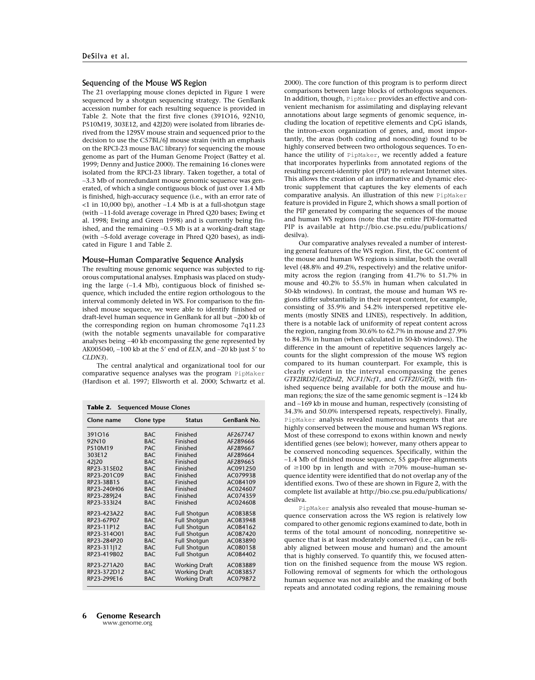#### Sequencing of the Mouse WS Region

The 21 overlapping mouse clones depicted in Figure 1 were sequenced by a shotgun sequencing strategy. The GenBank accession number for each resulting sequence is provided in Table 2. Note that the first five clones (391O16, 92N10, P510M19, 303E12, and 42J20) were isolated from libraries derived from the 129SV mouse strain and sequenced prior to the decision to use the C57BL/6J mouse strain (with an emphasis on the RPCI-23 mouse BAC library) for sequencing the mouse genome as part of the Human Genome Project (Battey et al. 1999; Denny and Justice 2000). The remaining 16 clones were isolated from the RPCI-23 library. Taken together, a total of ∼3.3 Mb of nonredundant mouse genomic sequence was generated, of which a single contiguous block of just over 1.4 Mb is finished, high-accuracy sequence (i.e., with an error rate of <1 in 10,000 bp), another ∼1.4 Mb is at a full-shotgun stage (with ∼11-fold average coverage in Phred Q20 bases; Ewing et al. 1998; Ewing and Green 1998) and is currently being finished, and the remaining ∼0.5 Mb is at a working-draft stage (with ∼5-fold average coverage in Phred Q20 bases), as indicated in Figure 1 and Table 2.

#### Mouse–Human Comparative Sequence Analysis

The resulting mouse genomic sequence was subjected to rigorous computational analyses. Emphasis was placed on studying the large (∼1.4 Mb), contiguous block of finished sequence, which included the entire region orthologous to the interval commonly deleted in WS. For comparison to the finished mouse sequence, we were able to identify finished or draft-level human sequence in GenBank for all but ∼200 kb of the corresponding region on human chromosome 7q11.23 (with the notable segments unavailable for comparative analyses being ∼40 kb encompassing the gene represented by AK005040, ~100 kb at the 5' end of *ELN*, and ~20 kb just 5' to *CLDN3*).

The central analytical and organizational tool for our comparative sequence analyses was the program PipMaker (Hardison et al. 1997; Ellsworth et al. 2000; Schwartz et al.

| Clone name  | Clone type | <b>Status</b>        | GenBank No. |
|-------------|------------|----------------------|-------------|
| 391016      | <b>BAC</b> | Finished             | AF267747    |
| 92N10       | <b>BAC</b> | Finished             | AF289666    |
| P510M19     | <b>PAC</b> | Finished             | AF289667    |
| 303E12      | <b>BAC</b> | Finished             | AF289664    |
| 42 20       | <b>BAC</b> | Finished             | AF289665    |
| RP23-315E02 | <b>BAC</b> | Finished             | AC091250    |
| RP23-201C09 | <b>BAC</b> | Finished             | AC079938    |
| RP23-38B15  | <b>BAC</b> | Finished             | AC084109    |
| RP23-240H06 | <b>BAC</b> | Finished             | AC024607    |
| RP23-289 24 | <b>BAC</b> | Finished             | AC074359    |
| RP23-333124 | <b>BAC</b> | Finished             | AC024608    |
| RP23-423A22 | <b>BAC</b> | <b>Full Shotgun</b>  | AC083858    |
| RP23-67P07  | <b>BAC</b> | <b>Full Shotgun</b>  | AC083948    |
| RP23-11P12  | <b>BAC</b> | <b>Full Shotgun</b>  | AC084162    |
| RP23-314O01 | <b>BAC</b> | <b>Full Shotgun</b>  | AC087420    |
| RP23-284P20 | <b>BAC</b> | <b>Full Shotgun</b>  | AC083890    |
| RP23-311 12 | <b>BAC</b> | <b>Full Shotgun</b>  | AC080158    |
| RP23-419B02 | <b>BAC</b> | <b>Full Shotgun</b>  | AC084402    |
| RP23-271A20 | <b>BAC</b> | <b>Working Draft</b> | AC083889    |
| RP23-372D12 | <b>BAC</b> | <b>Working Draft</b> | AC083857    |
| RP23-299E16 | <b>BAC</b> | <b>Working Draft</b> | AC079872    |

2000). The core function of this program is to perform direct comparisons between large blocks of orthologous sequences. In addition, though, PipMaker provides an effective and convenient mechanism for assimilating and displaying relevant annotations about large segments of genomic sequence, including the location of repetitive elements and CpG islands, the intron–exon organization of genes, and, most importantly, the areas (both coding and noncoding) found to be highly conserved between two orthologous sequences. To enhance the utility of PipMaker, we recently added a feature that incorporates hyperlinks from annotated regions of the resulting percent-identity plot (PIP) to relevant Internet sites. This allows the creation of an informative and dynamic electronic supplement that captures the key elements of each comparative analysis. An illustration of this new PipMaker feature is provided in Figure 2, which shows a small portion of the PIP generated by comparing the sequences of the mouse and human WS regions (note that the entire PDF-formatted PIP is available at http://bio.cse.psu.edu/publications/ desilva).

Our comparative analyses revealed a number of interesting general features of the WS region. First, the GC content of the mouse and human WS regions is similar, both the overall level (48.8% and 49.2%, respectively) and the relative uniformity across the region (ranging from 41.7% to 51.7% in mouse and 40.2% to 55.5% in human when calculated in 50-kb windows). In contrast, the mouse and human WS regions differ substantially in their repeat content, for example, consisting of 35.9% and 54.2% interspersed repetitive elements (mostly SINES and LINES), respectively. In addition, there is a notable lack of uniformity of repeat content across the region, ranging from 30.6% to 62.7% in mouse and 27.9% to 84.3% in human (when calculated in 50-kb windows). The difference in the amount of repetitive sequences largely accounts for the slight compression of the mouse WS region compared to its human counterpart. For example, this is clearly evident in the interval encompassing the genes *GTF2IRD2*/*Gtf2ird2*, *NCF1*/*Ncf1*, and *GTF2I*/*Gtf2i*, with finished sequence being available for both the mouse and human regions; the size of the same genomic segment is ∼124 kb and ∼169 kb in mouse and human, respectively (consisting of 34.3% and 50.0% interspersed repeats, respectively). Finally, PipMaker analysis revealed numerous segments that are highly conserved between the mouse and human WS regions. Most of these correspond to exons within known and newly identified genes (see below); however, many others appear to be conserved noncoding sequences. Specifically, within the ∼1.4 Mb of finished mouse sequence, 55 gap-free alignments of  $\geq$ 100 bp in length and with  $\geq$ 70% mouse–human sequence identity were identified that do not overlap any of the identified exons. Two of these are shown in Figure 2, with the complete list available at http://bio.cse.psu.edu/publications/ desilva.

PipMaker analysis also revealed that mouse–human sequence conservation across the WS region is relatively low compared to other genomic regions examined to date, both in terms of the total amount of noncoding, nonrepetitive sequence that is at least moderately conserved (i.e., can be reliably aligned between mouse and human) and the amount that is highly conserved. To quantify this, we focused attention on the finished sequence from the mouse WS region. Following removal of segments for which the orthologous human sequence was not available and the masking of both repeats and annotated coding regions, the remaining mouse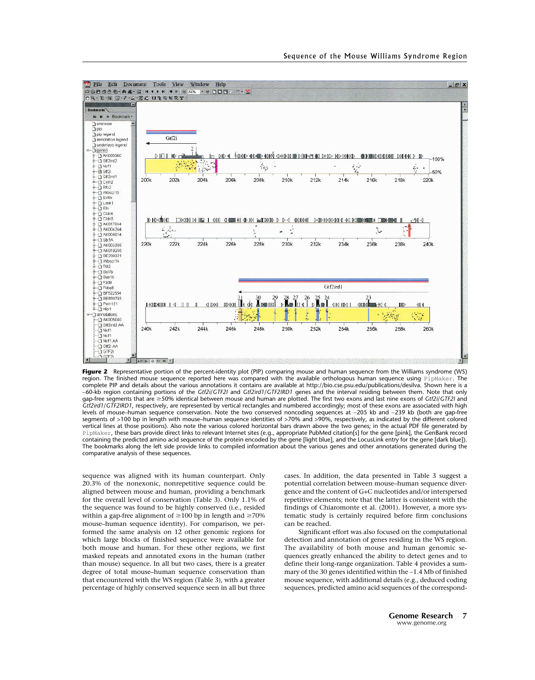

**Figure 2** Representative portion of the percent-identity plot (PIP) comparing mouse and human sequence from the Williams syndrome (WS) region. The finished mouse sequence reported here was compared with the available orthologous human sequence using PipMaker. The complete PIP and details about the various annotations it contains are available at http://bio.cse.psu.edu/publications/desilva. Shown here is a ∼60-kb region containing portions of the *Gtf2i*/*GTF2I* and *Gtf2ird1*/*GTF2IRD1* genes and the interval residing between them. Note that only gap-free segments that are ≥50% identical between mouse and human are plotted. The first two exons and last nine exons of *Gtf2i/GTF2I* and *Gtf2ird1*/*GTF2IRD1*, respectively, are represented by vertical rectangles and numbered accordingly; most of these exons are associated with high levels of mouse–human sequence conservation. Note the two conserved noncoding sequences at ∼205 kb and ∼239 kb (both are gap-free segments of >100 bp in length with mouse–human sequence identities of >70% and >90%, respectively, as indicated by the different colored vertical lines at those positions). Also note the various colored horizontal bars drawn above the two genes; in the actual PDF file generated by PipMaker, these bars provide direct links to relevant Internet sites (e.g., appropriate PubMed citation[s] for the gene [pink], the GenBank record containing the predicted amino acid sequence of the protein encoded by the gene [light blue], and the LocusLink entry for the gene [dark blue]). The bookmarks along the left side provide links to compiled information about the various genes and other annotations generated during the comparative analysis of these sequences.

sequence was aligned with its human counterpart. Only 20.3% of the nonexonic, nonrepetitive sequence could be aligned between mouse and human, providing a benchmark for the overall level of conservation (Table 3). Only 1.1% of the sequence was found to be highly conserved (i.e., resided within a gap-free alignment of  $\geq$ 100 bp in length and  $\geq$ 70% mouse–human sequence identity). For comparison, we performed the same analysis on 12 other genomic regions for which large blocks of finished sequence were available for both mouse and human. For these other regions, we first masked repeats and annotated exons in the human (rather than mouse) sequence. In all but two cases, there is a greater degree of total mouse–human sequence conservation than that encountered with the WS region (Table 3), with a greater percentage of highly conserved sequence seen in all but three cases. In addition, the data presented in Table 3 suggest a potential correlation between mouse–human sequence divergence and the content of G+C nucleotides and/or interspersed repetitive elements; note that the latter is consistent with the findings of Chiaromonte et al. (2001). However, a more systematic study is certainly required before firm conclusions can be reached.

Significant effort was also focused on the computational detection and annotation of genes residing in the WS region. The availability of both mouse and human genomic sequences greatly enhanced the ability to detect genes and to define their long-range organization. Table 4 provides a summary of the 30 genes identified within the ∼1.4 Mb of finished mouse sequence, with additional details (e.g., deduced coding sequences, predicted amino acid sequences of the correspond-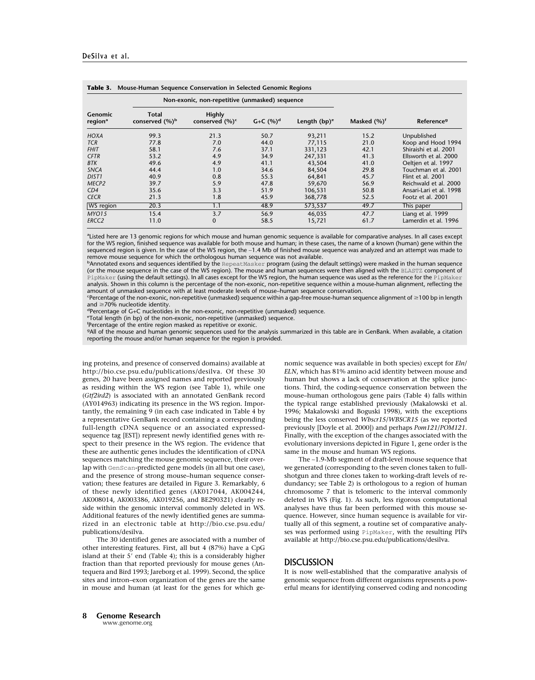| Genomic<br>region <sup>a</sup> | Non-exonic, non-repetitive (unmasked) sequence |                                     |                 |                 |                 |                         |
|--------------------------------|------------------------------------------------|-------------------------------------|-----------------|-----------------|-----------------|-------------------------|
|                                | Total<br>conserved $(\%)^b$                    | <b>Highly</b><br>conserved $(\%)^c$ | $G + C$ $(%)^d$ | Length $(bp)^e$ | Masked $(\%)^f$ | Reference <sup>9</sup>  |
| <b>HOXA</b>                    | 99.3                                           | 21.3                                | 50.7            | 93,211          | 15.2            | Unpublished             |
| <b>TCR</b>                     | 77.8                                           | 7.0                                 | 44.0            | 77,115          | 21.0            | Koop and Hood 1994      |
| <b>FHIT</b>                    | 58.1                                           | 7.6                                 | 37.1            | 331,123         | 42.1            | Shiraishi et al. 2001   |
| <b>CFTR</b>                    | 53.2                                           | 4.9                                 | 34.9            | 247,331         | 41.3            | Ellsworth et al. 2000   |
| <b>BTK</b>                     | 49.6                                           | 4.9                                 | 41.1            | 43,504          | 41.0            | Oeltjen et al. 1997     |
| <b>SNCA</b>                    | 44.4                                           | 1.0                                 | 34.6            | 84,504          | 29.8            | Touchman et al. 2001    |
| DIST <sub>1</sub>              | 40.9                                           | 0.8                                 | 55.3            | 64,841          | 45.7            | Flint et al. 2001       |
| MECP <sub>2</sub>              | 39.7                                           | 5.9                                 | 47.8            | 59,670          | 56.9            | Reichwald et al. 2000   |
| CD4                            | 35.6                                           | 3.3                                 | 51.9            | 106,531         | 50.8            | Ansari-Lari et al. 1998 |
| <b>CECR</b>                    | 21.3                                           | 1.8                                 | 45.9            | 368,778         | 52.5            | Footz et al. 2001       |
| WS region                      | 20.3                                           | 1.1                                 | 48.9            | 573,537         | 49.7            | This paper              |
| MYO <sub>15</sub>              | 15.4                                           | 3.7                                 | 56.9            | 46,035          | 47.7            | Liang et al. 1999       |
| ERCC2                          | 11.0                                           | $\Omega$                            | 58.5            | 15,721          | 61.7            | Lamerdin et al. 1996    |

a Listed here are 13 genomic regions for which mouse and human genomic sequence is available for comparative analyses. In all cases except for the WS region, finished sequence was available for both mouse and human; in these cases, the name of a known (human) gene within the sequenced region is given. In the case of the WS region, the ~1.4 Mb of finished mouse sequence was analyzed and an attempt was made to remove mouse sequence for which the orthologous human sequence was not available.

b<br>Annotated exons and sequences identified by the <code>RepeatMasker</code> program (using the default settings) were masked in the human sequence (or the mouse sequence in the case of the WS region). The mouse and human sequences were then aligned with the BLASTZ component of PipMaker (using the default settings). In all cases except for the WS region, the human sequence was used as the reference for the PipMaker analysis. Shown in this column is the percentage of the non-exonic, non-repetitive sequence within a mouse-human alignment, reflecting the amount of unmasked sequence with at least moderate levels of mouse–human sequence conservation.

Percentage of the non-exonic, non-repetitive (unmasked) sequence within a gap-free mouse-human sequence alignment of ≥100 bp in length and  $\geq$ 70% nucleotide identity.

and ≥70% nucleotide identity.<br><sup>d</sup>Percentage of G+C nucleotides in the non-exonic, non-repetitive (unmasked) sequence.

e Total length (in bp) of the non-exonic, non-repetitive (unmasked) sequence.

f Percentage of the entire region masked as repetitive or exonic.

g All of the mouse and human genomic sequences used for the analysis summarized in this table are in GenBank. When available, a citation reporting the mouse and/or human sequence for the region is provided.

ing proteins, and presence of conserved domains) available at http://bio.cse.psu.edu/publications/desilva. Of these 30 genes, 20 have been assigned names and reported previously as residing within the WS region (see Table 1), while one (*Gtf2ird2*) is associated with an annotated GenBank record (AY014963) indicating its presence in the WS region. Importantly, the remaining 9 (in each case indicated in Table 4 by a representative GenBank record containing a corresponding full-length cDNA sequence or an associated expressedsequence tag [EST]) represent newly identified genes with respect to their presence in the WS region. The evidence that these are authentic genes includes the identification of cDNA sequences matching the mouse genomic sequence, their overlap with GenScan-predicted gene models (in all but one case), and the presence of strong mouse–human sequence conservation; these features are detailed in Figure 3. Remarkably, 6 of these newly identified genes (AK017044, AK004244, AK008014, AK003386, AK019256, and BE290321) clearly reside within the genomic interval commonly deleted in WS. Additional features of the newly identified genes are summarized in an electronic table at http://bio.cse.psu.edu/ publications/desilva.

The 30 identified genes are associated with a number of other interesting features. First, all but 4 (87%) have a CpG island at their 5' end (Table 4); this is a considerably higher fraction than that reported previously for mouse genes (Antequera and Bird 1993; Jareborg et al. 1999). Second, the splice sites and intron–exon organization of the genes are the same in mouse and human (at least for the genes for which genomic sequence was available in both species) except for *Eln*/ *ELN*, which has 81% amino acid identity between mouse and human but shows a lack of conservation at the splice junctions. Third, the coding-sequence conservation between the mouse–human orthologous gene pairs (Table 4) falls within the typical range established previously (Makalowski et al. 1996; Makalowski and Boguski 1998), with the exceptions being the less conserved *Wbscr15*/*WBSCR15* (as we reported previously [Doyle et al. 2000]) and perhaps *Pom121*/*POM121*. Finally, with the exception of the changes associated with the evolutionary inversions depicted in Figure 1, gene order is the same in the mouse and human WS regions.

The ∼1.9-Mb segment of draft-level mouse sequence that we generated (corresponding to the seven clones taken to fullshotgun and three clones taken to working-draft levels of redundancy; see Table 2) is orthologous to a region of human chromosome 7 that is telomeric to the interval commonly deleted in WS (Fig. 1). As such, less rigorous computational analyses have thus far been performed with this mouse sequence. However, since human sequence is available for virtually all of this segment, a routine set of comparative analyses was performed using PipMaker, with the resulting PIPs available at http://bio.cse.psu.edu/publications/desilva.

## DISCUSSION

It is now well-established that the comparative analysis of genomic sequence from different organisms represents a powerful means for identifying conserved coding and noncoding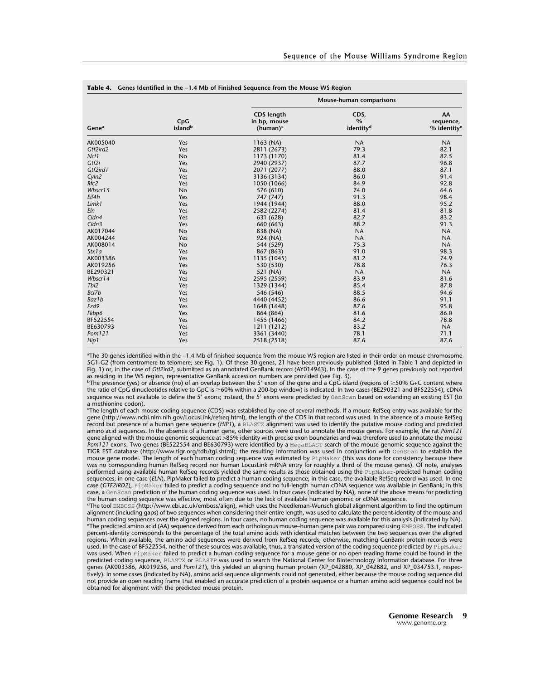| Gene <sup>a</sup> | CpG<br>island <sup>b</sup> | Mouse-human comparisons                          |                                                |                                              |  |
|-------------------|----------------------------|--------------------------------------------------|------------------------------------------------|----------------------------------------------|--|
|                   |                            | <b>CDS</b> length<br>in bp, mouse<br>$(human)^c$ | CDS,<br>$\frac{0}{0}$<br>identity <sup>d</sup> | AA<br>sequence,<br>$%$ identity <sup>e</sup> |  |
| AK005040          | Yes                        | 1163 (NA)                                        | <b>NA</b>                                      | <b>NA</b>                                    |  |
| Gtf2ird2          | Yes                        | 2811 (2673)                                      | 79.3                                           | 82.1                                         |  |
| Ncf1              | <b>No</b>                  | 1173 (1170)                                      | 81.4                                           | 82.5                                         |  |
| Gtf2i             | Yes                        | 2940 (2937)                                      | 87.7                                           | 96.8                                         |  |
| Gtf2ird1          | Yes                        | 2071 (2077)                                      | 88.0                                           | 87.1                                         |  |
| Cyln2             | Yes                        | 3136 (3134)                                      | 86.0                                           | 91.4                                         |  |
| Rfc2              | Yes                        | 1050 (1066)                                      | 84.9                                           | 92.8                                         |  |
| Wbscr15           | No                         | 576 (610)                                        | 74.0                                           | 64.6                                         |  |
| Eif4h             | Yes                        | 747 (747)                                        | 91.3                                           | 98.4                                         |  |
| Limk1             | Yes                        | 1944 (1944)                                      | 88.0                                           | 95.2                                         |  |
| Eln               | Yes                        | 2582 (2274)                                      | 81.4                                           | 81.8                                         |  |
| $C$ <i>ldn4</i>   | Yes                        | 631 (628)                                        | 82.7                                           | 83.2                                         |  |
| Cldn3             | Yes                        | 660 (663)                                        | 88.2                                           | 91.3                                         |  |
| AK017044          | No                         | 838 (NA)                                         | <b>NA</b>                                      | <b>NA</b>                                    |  |
| AK004244          | Yes                        | 924 (NA)                                         | <b>NA</b>                                      | <b>NA</b>                                    |  |
| AK008014          | <b>No</b>                  | 544 (529)                                        | 75.3                                           | <b>NA</b>                                    |  |
| Stx1a             | Yes                        | 867 (863)                                        | 91.0                                           | 98.3                                         |  |
| AK003386          | Yes                        | 1135 (1045)                                      | 81.2                                           | 74.9                                         |  |
| AK019256          | Yes                        | 530 (530)                                        | 78.8                                           | 76.3                                         |  |
| BE290321          | Yes                        | 521 (NA)                                         | <b>NA</b>                                      | <b>NA</b>                                    |  |
| Wbscr14           | Yes                        | 2595 (2559)                                      | 83.9                                           | 81.6                                         |  |
| Tb <sub>12</sub>  | Yes                        | 1329 (1344)                                      | 85.4                                           | 87.8                                         |  |
| Bcl7b             | Yes                        | 546 (546)                                        | 88.5                                           | 94.6                                         |  |
| Baz1b             | Yes                        | 4440 (4452)                                      | 86.6                                           | 91.1                                         |  |
| Fzd9              | Yes                        | 1648 (1648)                                      | 87.6                                           | 95.8                                         |  |
| Fkbp6             | Yes                        | 864 (864)                                        | 81.6                                           | 86.0                                         |  |
| BF522554          | Yes                        | 1455 (1466)                                      | 84.2                                           | 78.8                                         |  |
| BE630793          | Yes                        | 1211 (1212)                                      | 83.2                                           | <b>NA</b>                                    |  |
| Pom121            | Yes                        | 3361 (3440)                                      | 78.1                                           | 71.1                                         |  |
| Hip1              | Yes                        | 2518 (2518)                                      | 87.6                                           | 87.6                                         |  |

a The 30 genes identified within the ∼1.4 Mb of finished sequence from the mouse WS region are listed in their order on mouse chromosome 5G1-G2 (from centromere to telomere; see Fig. 1). Of these 30 genes, 21 have been previously published (listed in Table 1 and depicted in Fig. 1) or, in the case of *Gtf2ird2*, submitted as an annotated GenBank record (AY014963). In the case of the 9 genes previously not reported as residing in the WS region, representative GenBank accession numbers are provided (see Fig. 3).

 $^{\rm b}$ The presence (yes) or absence (no) of an overlap between the 5' exon of the gene and a CpG island (regions of  $\geq$  50% G+C content where the ratio of CpG dinucleotides relative to GpC is ≥60% within a 200-bp window) is indicated. In two cases (BE290321 and BF522554), cDNA sequence was not available to define the 5' exons; instead, the 5' exons were predicted by GenScan based on extending an existing EST (to a methionine codon).

c The length of each mouse coding sequence (CDS) was established by one of several methods. If a mouse RefSeq entry was available for the gene (http://www.ncbi.nlm.nih.gov/LocusLink/refseq.html), the length of the CDS in that record was used. In the absence of a mouse RefSeq record but presence of a human gene sequence (*HIP1*), a BLASTZ alignment was used to identify the putative mouse coding and predicted amino acid sequences. In the absence of a human gene, other sources were used to annotate the mouse genes. For example, the rat *Pom121* gene aligned with the mouse genomic sequence at >85% identity with precise exon boundaries and was therefore used to annotate the mouse *Pom121* exons. Two genes (BE522554 and BE630793) were identified by a MegaBLAST search of the mouse genomic sequence against the TIGR EST database (http://www.tigr.org/tdb/tgi.shtml); the resulting information was used in conjunction with GenScan to establish the mouse gene model. The length of each human coding sequence was estimated by PipMaker (this was done for consistency because there was no corresponding human RefSeq record nor human LocusLink mRNA entry for roughly a third of the mouse genes). Of note, analyses performed using available human RefSeq records yielded the same results as those obtained using the PipMaker-predicted human coding sequences; in one case (*ELN*), PipMaker failed to predict a human coding sequence; in this case, the available RefSeq record was used. In one case (*GTF2IRD2*), PipMaker failed to predict a coding sequence and no full-length human cDNA sequence was available in GenBank; in this case, a GenScan prediction of the human coding sequence was used. In four cases (indicated by NA), none of the above means for predicting the human coding sequence was effective, most often due to the lack of available human genomic or cDNA sequence.

d The tool EMBOSS (http://www.ebi.ac.uk/emboss/align), which uses the Needleman-Wunsch global alignment algorithm to find the optimum alignment (including gaps) of two sequences when considering their entire length, was used to calculate the percent-identity of the mouse and human coding sequences over the aligned regions. In four cases, no human coding sequence was available for this analysis (indicated by NA). e The predicted amino acid (AA) sequence derived from each orthologous mouse–human gene pair was compared using EMBOSS. The indicated percent-identity corresponds to the percentage of the total amino acids with identical matches between the two sequences over the aligned regions. When available, the amino acid sequences were derived from RefSeq records; otherwise, matching GenBank protein records were used. In the case of BF522554, neither of these sources was available; thus, a translated version of the coding sequence predicted by PipMaker was used. When PipMaker failed to predict a human coding sequence for a mouse gene or no open reading frame could be found in the predicted coding sequence, BLASTX or BLASTP was used to search the National Center for Biotechnology Information database. For three genes (AK003386, AK019256, and *Pom121*), this yielded an aligning human protein (XP\_042880, XP\_042882, and XP\_034753.1, respectively). In some cases (indicated by NA), amino acid sequence alignments could not generated, either because the mouse coding sequence did not provide an open reading frame that enabled an accurate prediction of a protein sequence or a human amino acid sequence could not be obtained for alignment with the predicted mouse protein.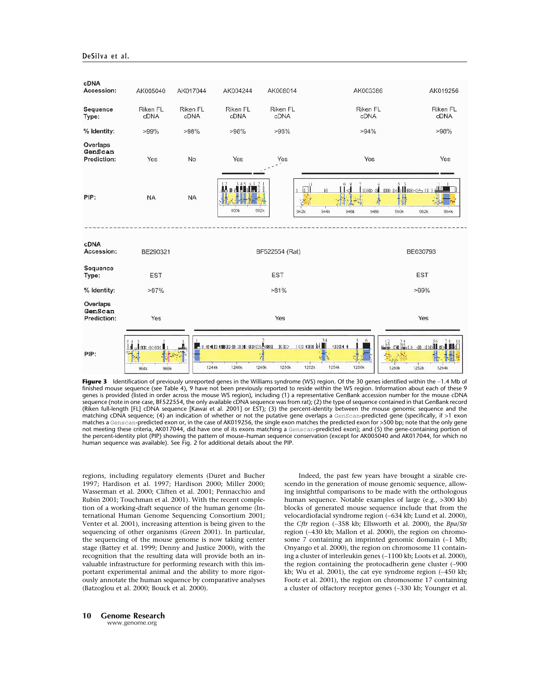

**Figure 3** Identification of previously unreported genes in the Williams syndrome (WS) region. Of the 30 genes identified within the ∼1.4 Mb of finished mouse sequence (see Table 4), 9 have not been previously reported to reside within the WS region. Information about each of these 9 genes is provided (listed in order across the mouse WS region), including (1) a representative GenBank accession number for the mouse cDNA sequence (note in one case, BF522554, the only available cDNA sequence was from rat); (2) the type of sequence contained in that GenBank record (Riken full-length [FL] cDNA sequence [Kawai et al. 2001] or EST); (3) the percent-identity between the mouse genomic sequence and the matching cDNA sequence; (4) an indication of whether or not the putative gene overlaps a GenScan-predicted gene (specifically, if >1 exon matches a Genscan-predicted exon or, in the case of AK019256, the single exon matches the predicted exon for >500 bp; note that the only gene not meeting these criteria, AK017044, did have one of its exons matching a Genscan-predicted exon); and (5) the gene-containing portion of the percent-identity plot (PIP) showing the pattern of mouse–human sequence conservation (except for AK005040 and AK017044, for which no human sequence was available). See Fig. 2 for additional details about the PIP.

regions, including regulatory elements (Duret and Bucher 1997; Hardison et al. 1997; Hardison 2000; Miller 2000; Wasserman et al. 2000; Cliften et al. 2001; Pennacchio and Rubin 2001; Touchman et al. 2001). With the recent completion of a working-draft sequence of the human genome (International Human Genome Sequencing Consortium 2001; Venter et al. 2001), increasing attention is being given to the sequencing of other organisms (Green 2001). In particular, the sequencing of the mouse genome is now taking center stage (Battey et al. 1999; Denny and Justice 2000), with the recognition that the resulting data will provide both an invaluable infrastructure for performing research with this important experimental animal and the ability to more rigorously annotate the human sequence by comparative analyses (Batzoglou et al. 2000; Bouck et al. 2000).

Indeed, the past few years have brought a sizable crescendo in the generation of mouse genomic sequence, allowing insightful comparisons to be made with the orthologous human sequence. Notable examples of large (e.g., >300 kb) blocks of generated mouse sequence include that from the velocardiofacial syndrome region (∼634 kb; Lund et al. 2000), the *Cftr* region (∼358 kb; Ellsworth et al. 2000), the *Bpa*/*Str* region (∼430 kb; Mallon et al. 2000), the region on chromosome 7 containing an imprinted genomic domain (∼1 Mb; Onyango et al. 2000), the region on chromosome 11 containing a cluster of interleukin genes (∼1100 kb; Loots et al. 2000), the region containing the protocadherin gene cluster (∼900 kb; Wu et al. 2001), the cat eye syndrome region (∼450 kb; Footz et al. 2001), the region on chromosome 17 containing a cluster of olfactory receptor genes (∼330 kb; Younger et al.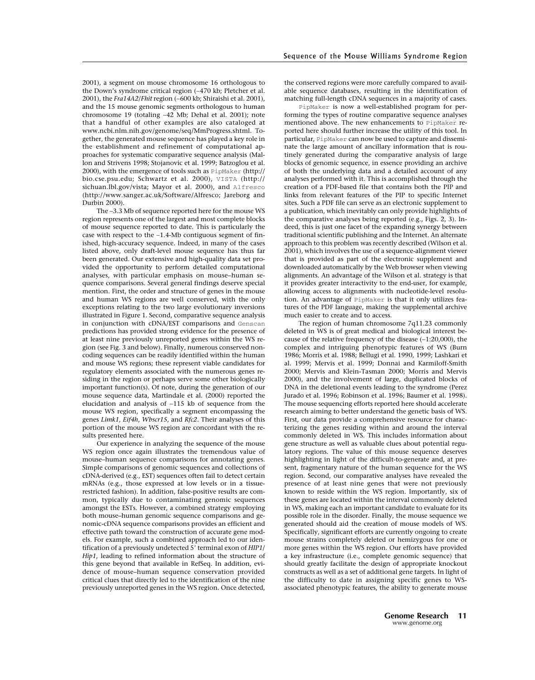2001), a segment on mouse chromosome 16 orthologous to the Down's syndrome critical region (∼470 kb; Pletcher et al. 2001), the *Fra14A2*/*Fhit* region (∼600 kb; Shiraishi et al. 2001), and the 15 mouse genomic segments orthologous to human chromosome 19 (totaling ∼42 Mb; Dehal et al. 2001); note that a handful of other examples are also cataloged at www.ncbi.nlm.nih.gov/genome/seq/MmProgress.shtml. Together, the generated mouse sequence has played a key role in the establishment and refinement of computational approaches for systematic comparative sequence analysis (Mallon and Strivens 1998; Stojanovic et al. 1999; Batzoglou et al. 2000), with the emergence of tools such as PipMaker (http:// bio.cse.psu.edu; Schwartz et al. 2000), VISTA (http:// sichuan.lbl.gov/vista; Mayor et al. 2000), and Alfresco (http://www.sanger.ac.uk/Software/Alfresco; Jareborg and Durbin 2000).

The ∼3.3 Mb of sequence reported here for the mouse WS region represents one of the largest and most complete blocks of mouse sequence reported to date. This is particularly the case with respect to the ∼1.4-Mb contiguous segment of finished, high-accuracy sequence. Indeed, in many of the cases listed above, only draft-level mouse sequence has thus far been generated. Our extensive and high-quality data set provided the opportunity to perform detailed computational analyses, with particular emphasis on mouse–human sequence comparisons. Several general findings deserve special mention. First, the order and structure of genes in the mouse and human WS regions are well conserved, with the only exceptions relating to the two large evolutionary inversions illustrated in Figure 1. Second, comparative sequence analysis in conjunction with cDNA/EST comparisons and Genscan predictions has provided strong evidence for the presence of at least nine previously unreported genes within the WS region (see Fig. 3 and below). Finally, numerous conserved noncoding sequences can be readily identified within the human and mouse WS regions; these represent viable candidates for regulatory elements associated with the numerous genes residing in the region or perhaps serve some other biologically important function(s). Of note, during the generation of our mouse sequence data, Martindale et al. (2000) reported the elucidation and analysis of ∼115 kb of sequence from the mouse WS region, specifically a segment encompassing the genes *Limk1*, *Eif4h*, *Wbscr15*, and *Rfc2*. Their analyses of this portion of the mouse WS region are concordant with the results presented here.

Our experience in analyzing the sequence of the mouse WS region once again illustrates the tremendous value of mouse–human sequence comparisons for annotating genes. Simple comparisons of genomic sequences and collections of cDNA-derived (e.g., EST) sequences often fail to detect certain mRNAs (e.g., those expressed at low levels or in a tissuerestricted fashion). In addition, false-positive results are common, typically due to contaminating genomic sequences amongst the ESTs. However, a combined strategy employing both mouse–human genomic sequence comparisons and genomic-cDNA sequence comparisons provides an efficient and effective path toward the construction of accurate gene models. For example, such a combined approach led to our identification of a previously undetected 5' terminal exon of *HIP1*/ *Hip1*, leading to refined information about the structure of this gene beyond that available in RefSeq. In addition, evidence of mouse–human sequence conservation provided critical clues that directly led to the identification of the nine previously unreported genes in the WS region. Once detected, the conserved regions were more carefully compared to available sequence databases, resulting in the identification of matching full-length cDNA sequences in a majority of cases.

PipMaker is now a well-established program for performing the types of routine comparative sequence analyses mentioned above. The new enhancements to PipMaker reported here should further increase the utility of this tool. In particular, PipMaker can now be used to capture and disseminate the large amount of ancillary information that is routinely generated during the comparative analysis of large blocks of genomic sequence, in essence providing an archive of both the underlying data and a detailed account of any analyses performed with it. This is accomplished through the creation of a PDF-based file that contains both the PIP and links from relevant features of the PIP to specific Internet sites. Such a PDF file can serve as an electronic supplement to a publication, which inevitably can only provide highlights of the comparative analyses being reported (e.g., Figs. 2, 3). Indeed, this is just one facet of the expanding synergy between traditional scientific publishing and the Internet. An alternate approach to this problem was recently described (Wilson et al. 2001), which involves the use of a sequence-alignment viewer that is provided as part of the electronic supplement and downloaded automatically by the Web browser when viewing alignments. An advantage of the Wilson et al. strategy is that it provides greater interactivity to the end-user, for example, allowing access to alignments with nucleotide-level resolution. An advantage of PipMaker is that it only utilizes features of the PDF language, making the supplemental archive much easier to create and to access.

The region of human chromosome 7q11.23 commonly deleted in WS is of great medical and biological interest because of the relative frequency of the disease (∼1:20,000), the complex and intriguing phenotypic features of WS (Burn 1986; Morris et al. 1988; Bellugi et al. 1990, 1999; Lashkari et al. 1999; Mervis et al. 1999; Donnai and Karmiloff-Smith 2000; Mervis and Klein-Tasman 2000; Morris and Mervis 2000), and the involvement of large, duplicated blocks of DNA in the deletional events leading to the syndrome (Perez Jurado et al. 1996; Robinson et al. 1996; Baumer et al. 1998). The mouse sequencing efforts reported here should accelerate research aiming to better understand the genetic basis of WS. First, our data provide a comprehensive resource for characterizing the genes residing within and around the interval commonly deleted in WS. This includes information about gene structure as well as valuable clues about potential regulatory regions. The value of this mouse sequence deserves highlighting in light of the difficult-to-generate and, at present, fragmentary nature of the human sequence for the WS region. Second, our comparative analyses have revealed the presence of at least nine genes that were not previously known to reside within the WS region. Importantly, six of these genes are located within the interval commonly deleted in WS, making each an important candidate to evaluate for its possible role in the disorder. Finally, the mouse sequence we generated should aid the creation of mouse models of WS. Specifically, significant efforts are currently ongoing to create mouse strains completely deleted or hemizygous for one or more genes within the WS region. Our efforts have provided a key infrastructure (i.e., complete genomic sequence) that should greatly facilitate the design of appropriate knockout constructs as well as a set of additional gene targets. In light of the difficulty to date in assigning specific genes to WSassociated phenotypic features, the ability to generate mouse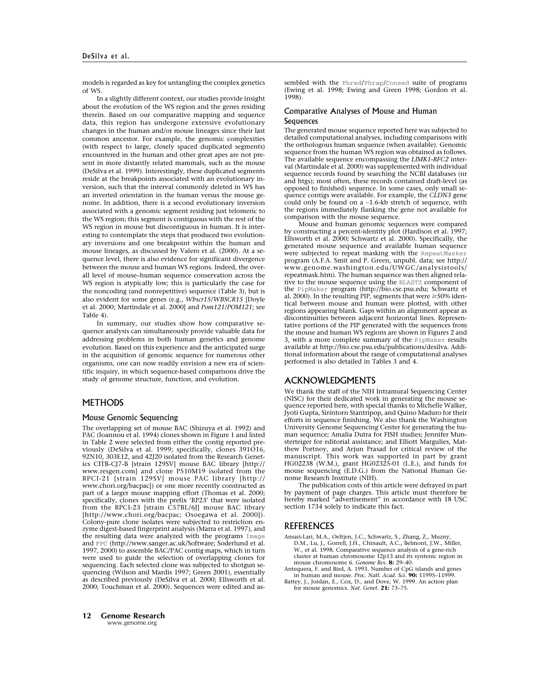models is regarded as key for untangling the complex genetics of WS.

In a slightly different context, our studies provide insight about the evolution of the WS region and the genes residing therein. Based on our comparative mapping and sequence data, this region has undergone extensive evolutionary changes in the human and/or mouse lineages since their last common ancestor. For example, the genomic complexities (with respect to large, closely spaced duplicated segments) encountered in the human and other great apes are not present in more distantly related mammals, such as the mouse (DeSilva et al. 1999). Interestingly, these duplicated segments reside at the breakpoints associated with an evolutionary inversion, such that the interval commonly deleted in WS has an inverted orientation in the human versus the mouse genome. In addition, there is a second evolutionary inversion associated with a genomic segment residing just telomeric to the WS region; this segment is contiguous with the rest of the WS region in mouse but discontiguous in human. It is interesting to contemplate the steps that produced two evolutionary inversions and one breakpoint within the human and mouse lineages, as discussed by Valero et al. (2000). At a sequence level, there is also evidence for significant divergence between the mouse and human WS regions. Indeed, the overall level of mouse–human sequence conservation across the WS region is atypically low; this is particularly the case for the noncoding (and nonrepetitive) sequence (Table 3), but is also evident for some genes (e.g., *Wbscr15*/*WBSCR15* [Doyle et al. 2000; Martindale et al. 2000] and *Pom121*/*POM121*; see Table 4).

In summary, our studies show how comparative sequence analysis can simultaneously provide valuable data for addressing problems in both human genetics and genome evolution. Based on this experience and the anticipated surge in the acquisition of genomic sequence for numerous other organisms, one can now readily envision a new era of scientific inquiry, in which sequence-based comparisons drive the study of genome structure, function, and evolution.

# **METHODS**

#### Mouse Genomic Sequencing

The overlapping set of mouse BAC (Shizuya et al. 1992) and PAC (Ioannou et al. 1994) clones shown in Figure 1 and listed in Table 2 were selected from either the contig reported previously (DeSilva et al. 1999; specifically, clones 391O16, 92N10, 303E12, and 42J20 isolated from the Research Genetics CITB-CJ7-B [strain 129SV] mouse BAC library [http:// www.resgen.com] and clone P510M19 isolated from the RPCI-21 [strain 129SV] mouse PAC library [http:// www.chori.org/bacpac]) or one more recently constructed as part of a larger mouse mapping effort (Thomas et al. 2000; specifically, clones with the prefix 'RP23' that were isolated from the RPCI-23 [strain C57BL/6J] mouse BAC library [http://www.chori.org/bacpac; Osoegawa et al. 2000]). Colony-pure clone isolates were subjected to restriction enzyme digest-based fingerprint analysis (Marra et al. 1997), and the resulting data were analyzed with the programs Image and FPC (http://www.sanger.ac.uk/Software; Soderlund et al. 1997, 2000) to assemble BAC/PAC contig maps, which in turn were used to guide the selection of overlapping clones for sequencing. Each selected clone was subjected to shotgun sequencing (Wilson and Mardis 1997; Green 2001), essentially as described previously (DeSilva et al. 2000; Ellsworth et al. 2000; Touchman et al. 2000). Sequences were edited and assembled with the Phred/Phrap/Consed suite of programs (Ewing et al. 1998; Ewing and Green 1998; Gordon et al. 1998).

## Comparative Analyses of Mouse and Human **Sequences**

The generated mouse sequence reported here was subjected to detailed computational analyses, including comparisons with the orthologous human sequence (when available). Genomic sequence from the human WS region was obtained as follows. The available sequence encompassing the *LIMK1*-*RFC2* interval (Martindale et al. 2000) was supplemented with individual sequence records found by searching the NCBI databases (nr and htgs); most often, these records contained draft-level (as opposed to finished) sequence. In some cases, only small sequence contigs were available. For example, the *CLDN3* gene could only be found on a ∼1.6-kb stretch of sequence, with the regions immediately flanking the gene not available for comparison with the mouse sequence.

Mouse and human genomic sequences were compared by constructing a percent-identity plot (Hardison et al. 1997; Ellsworth et al. 2000; Schwartz et al. 2000). Specifically, the generated mouse sequence and available human sequence were subjected to repeat masking with the RepeatMasker program (A.F.A. Smit and P. Green, unpubl. data; see http:// www.genome.washington.edu/UWGC/analysistools/ repeatmask.htm). The human sequence was then aligned relative to the mouse sequence using the BLASTZ component of the PipMaker program (http://bio.cse.psu.edu; Schwartz et al. 2000). In the resulting PIP, segments that were  $\geq$ 50% identical between mouse and human were plotted, with other regions appearing blank. Gaps within an alignment appear as discontinuities between adjacent horizontal lines. Representative portions of the PIP generated with the sequences from the mouse and human WS regions are shown in Figures 2 and 3, with a more complete summary of the PipMaker results available at http://bio.cse.psu.edu/publications/desilva. Additional information about the range of computational analyses performed is also detailed in Tables 3 and 4.

# ACKNOWLEDGMENTS

We thank the staff of the NIH Intramural Sequencing Center (NISC) for their dedicated work in generating the mouse sequence reported here, with special thanks to Michelle Walker, Jyoti Gupta, Sirintorn Stantripop, and Quino Maduro for their efforts in sequence finishing. We also thank the Washington University Genome Sequencing Center for generating the human sequence; Amalia Dutra for FISH studies; Jennifer Munsterteiger for editorial assistance; and Elliott Margulies, Matthew Portnoy, and Arjun Prasad for critical review of the manuscript. This work was supported in part by grant HG02238 (W.M.), grant HG02325-01 (L.E.), and funds for mouse sequencing (E.D.G.) from the National Human Genome Research Institute (NIH).

The publication costs of this article were defrayed in part by payment of page charges. This article must therefore be hereby marked "advertisement" in accordance with 18 USC section 1734 solely to indicate this fact.

## REFERENCES

- Ansari-Lari, M.A., Oeltjen, J.C., Schwartz, S., Zhang, Z., Muzny, D.M., Lu, J., Gorrell, J.H., Chinault, A.C., Belmont, J.W., Miller, W., et al. 1998. Comparative sequence analysis of a gene-rich cluster at human chromosome 12p13 and its syntenic region in mouse chromosome 6. *Genome Res.* **8:** 29–40.
- Antequera, F. and Bird, A. 1993. Number of CpG islands and genes in human and mouse. *Proc. Natl. Acad. Sci.* **90:** 11995–11999.
- Battey, J., Jordan, E., Cox, D., and Dove, W. 1999. An action plan for mouse genomics. *Nat. Genet.* **21:** 73–75.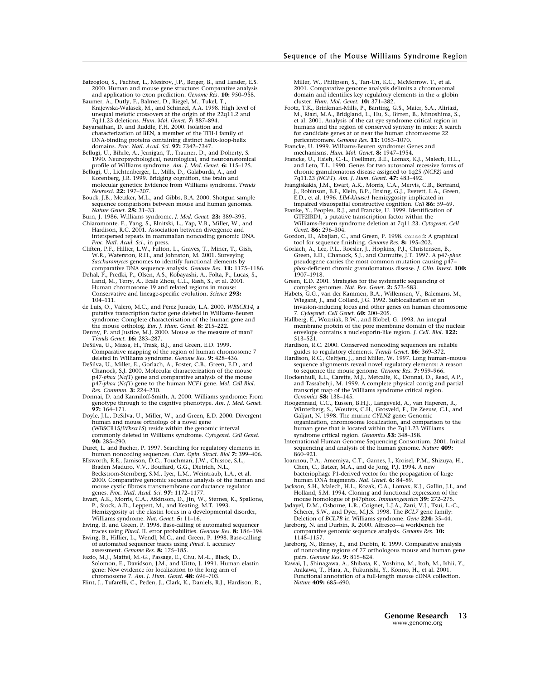Batzoglou, S., Pachter, L., Mesirov, J.P., Berger, B., and Lander, E.S. 2000. Human and mouse gene structure: Comparative analysis and application to exon prediction. *Genome Res.* **10:** 950–958.

Baumer, A., Dutly, F., Balmer, D., Riegel, M., Tukel, T. Krajewska-Walasek, M., and Schinzel, A.A. 1998. High level of unequal meiotic crossovers at the origin of the 22q11.2 and 7q11.23 deletions. *Hum. Mol. Genet.* **7:** 887–894.

Bayarsaihan, D. and Ruddle, F.H. 2000. Isolation and characterization of BEN, a member of the TFII-I family of DNA-binding proteins containing distinct helix-loop-helix domains. *Proc. Natl. Acad. Sci.* **97:** 7342–7347.

Bellugi, U., Bihrle, A., Jernigan, T., Trauner, D., and Doherty, S. 1990. Neuropsychological, neurological, and neuroanatomical profile of Williams syndrome. *Am. J. Med. Genet.* **6:** 115–125.

Bellugi, U., Lichtenberger, L., Mills, D., Galaburda, A., and Korenberg, J.R. 1999. Bridging cognition, the brain and molecular genetics: Evidence from Williams syndrome. *Trends Neurosci.* **22:** 197–207.

Bouck, J.B., Metzker, M.L., and Gibbs, R.A. 2000. Shotgun sample sequence comparisons between mouse and human genomes. *Nature Genet.* **25:** 31–33.

Burn, J. 1986. Williams syndrome. *J. Med. Genet.* **23:** 389–395.

Chiaromonte, F., Yang, S., Elnitski, L., Yap, V.B., Miller, W., and Hardison, R.C. 2001. Association between divergence and interspersed repeats in mammalian noncoding genomic DNA.

*Proc. Natl. Acad. Sci.*, in press. Cliften, P.F., Hillier, L.W., Fulton, L., Graves, T., Miner, T., Gish, W.R., Waterston, R.H., and Johnston, M. 2001. Surveying *Saccharomyces* genomes to identify functional elements by comparative DNA sequence analysis. *Genome Res.* **11:** 1175–1186.

Dehal, P., Predki, P., Olsen, A.S., Kobayashi, A., Folta, P., Lucas, S., Land, M., Terry, A., Ecale Zhou, C.L., Rash, S., et al. 2001. Human chromosome 19 and related regions in mouse: Conservative and lineage-specific evolution. *Science* **293:** 104–111.

de Luis, O., Valero, M.C., and Perez Jurado, L.A. 2000. *WBSCR14*, a putative transcription factor gene deleted in Williams-Beuren syndrome: Complete characterisation of the human gene and the mouse ortholog. *Eur. J. Hum. Genet.* **8:** 215–222.

Denny, P. and Justice, M.J. 2000. Mouse as the measure of man? *Trends Genet.* **16:** 283–287.

DeSilva, U., Massa, H., Trask, B.J., and Green, E.D. 1999. Comparative mapping of the region of human chromosome 7 deleted in Williams syndrome. *Genome Res.* **9:** 428–436.

DeSilva, U., Miller, E., Gorlach, A., Foster, C.B., Green, E.D., and Chanock, S.J. 2000. Molecular characterization of the mouse p47-*phox* (*Ncf1*) gene and comparative analysis of the mouse p47-*phox* (*Ncf1*) gene to the human *NCF1* gene. *Mol. Cell Biol. Res. Commun.* **3:** 224–230.

Donnai, D. and Karmiloff-Smith, A. 2000. Williams syndrome: From genotype through to the cogntive phenotype. *Am. J. Med. Genet.* **97:** 164–171.

Doyle, J.L., DeSilva, U., Miller, W., and Green, E.D. 2000. Divergent human and mouse orthologs of a novel gene (WBSCR15/*Wbscr15*) reside within the genomic interval commonly deleted in Williams syndrome. *Cytogenet. Cell Genet.* **90:** 285–290.

Duret, L. and Bucher, P. 1997. Searching for regulatory elements in human noncoding sequences. *Curr. Opin. Struct. Biol* **7:** 399–406.

Ellsworth, R.E., Jamison, D.C., Touchman, J.W., Chissoe, S.L., Braden Maduro, V.V., Bouffard, G.G., Dietrich, N.L., Beckstrom-Sternberg, S.M., Iyer, L.M., Weintraub, L.A., et al. 2000. Comparative genomic sequence analysis of the human and mouse cystic fibrosis transmembrane conductance regulator genes. *Proc. Natl. Acad. Sci.* **97:** 1172–1177.

Ewart, A.K., Morris, C.A., Atkinson, D., Jin, W., Sternes, K., Spallone, P., Stock, A.D., Leppert, M., and Keating, M.T. 1993. Hemizygosity at the elastin locus in a developmental disorder, Williams syndrome. *Nat. Genet.* **5:** 11–16.

Ewing, B. and Green, P. 1998. Base-calling of automated sequencer

traces using *Phred.* II. error probabilities. *Genome Res.* **8:** 186–194. Ewing, B., Hillier, L., Wendl, M.C., and Green, P. 1998. Base-calling of automated sequencer traces using *Phred.* I. accuracy assessment. *Genome Res.* **8:** 175–185.

Fazio, M.J., Mattei, M.-G., Passage, E., Chu, M.-L., Black, D., Solomon, E., Davidson, J.M., and Uitto, J. 1991. Human elastin gene: New evidence for localization to the long arm of chromosome 7. *Am. J. Hum. Genet.* **48:** 696–703.

Flint, J., Tufarelli, C., Peden, J., Clark, K., Daniels, R.J., Hardison, R.,

Miller, W., Philipsen, S., Tan-Un, K.C., McMorrow, T., et al. 2001. Comparative genome analysis delimits a chromosomal domain and identifies key regulatory elements in the  $\alpha$  globin cluster. *Hum. Mol. Genet.* **10:** 371–382.

- Footz, T.K., Brinkman-Mills, P., Banting, G.S., Maier, S.A., Aliriazi, M., Riazi, M.A., Bridgland, L., Hu, S., Birren, B., Minoshima, S., et al. 2001. Analysis of the cat eye syndrome critical region in humans and the region of conserved synteny in mice: A search for candidate genes at or near the human chromosome 22 pericentromere. *Genome Res.* **11:** 1053–1070.
- Francke, U. 1999. Williams-Beuren syndrome: Genes and mechanisms. *Hum. Mol. Genet.* **8:** 1947–1954.
- Francke, U., Hsieh, C.-L., Foellmer, B.E., Lomax, K.J., Malech, H.L., and Leto, T.L. 1990. Genes for two autosomal recessive forms of chronic granulomatous disease assigned to 1q25 *(NCF2)* and 7q11.23 *(NCF1*). *Am. J. Hum. Genet.* **47:** 483–492.
- Frangiskakis, J.M., Ewart, A.K., Morris, C.A., Mervis, C.B., Bertrand, J., Robinson, B.F., Klein, B.P., Ensing, G.J., Everett, L.A., Green, E.D., et al. 1996. *LIM-kinase1* hemizygosity implicated in impaired visuospatial constructive cognition. *Cell* **86:** 59–69.

Franke, Y., Peoples, R.J., and Francke, U. 1999. Identification of GTF2IRD1, a putative transcription factor within the Williams-Beuren syndrome deletion at 7q11.23. *Cytogenet. Cell Genet.* **86:** 296–304.

Gordon, D., Abajian, C., and Green, P. 1998. Consed: A graphical tool for sequence finishing. *Genome Res.* **8:** 195–202.

Gorlach, A., Lee, P.L., Roesler, J., Hopkins, P.J., Christensen, B., Green, E.D., Chanock, S.J., and Curnutte, J.T. 1997. A p47-*phox* pseudogene carries the most common mutation causing p47– *phox*-deficient chronic granulomatous disease. *J. Clin. Invest.* **100:** 1907–1918.

Green, E.D. 2001. Strategies for the systematic sequencing of complex genomes. *Nat. Rev. Genet.* **2:** 573–583.

Habets, G.G., van der Kammen, R.A., Willemsen, V., Balemans, M., Wiegant, J., and Collard, J.G. 1992. Sublocalization of an invasion-inducing locus and other genes on human chromosome 7. *Cytogenet. Cell Genet.* **60:** 200–205.

Hallberg, E., Wozniak, R.W., and Blobel, G. 1993. An integral membrane protein of the pore membrane domain of the nuclear envelope contains a nucleoporin-like region. *J. Cell. Biol.* **122:** 513–521.

- Hardison, R.C. 2000. Conserved noncoding sequences are reliable guides to regulatory elements. *Trends Genet.* **16:** 369–372.
- Hardison, R.C., Oeltjen, J., and Miller, W. 1997. Long human–mouse sequence alignments reveal novel regulatory elements: A reason to sequence the mouse genome. *Genome Res.* **7:** 959–966.

Hockenhull, E.L., Carette, M.J., Metcalfe, K., Donnai, D., Read, A.P., and Tassabehji, M. 1999. A complete physical contig and partial transcript map of the Williams syndrome critical region. *Genomics* **58:** 138–145.

Hoogenraad, C.C., Eussen, B.H.J., Langeveld, A., van Haperen, R., Winterberg, S., Wouters, C.H., Grosveld, F., De Zeeuw, C.I., and Galjart, N. 1998. The murine *CYLN2* gene: Genomic organization, chromosome localization, and comparison to the human gene that is located within the 7q11.23 Williams syndrome critical region. *Genomics* **53:** 348–358.

International Human Genome Sequencing Consortium. 2001. Initial sequencing and analysis of the human genome. *Nature* **409:** 860–921.

- Ioannou, P.A., Amemiya, C.T., Garnes, J., Kroisel, P.M., Shizuya, H., Chen, C., Batzer, M.A., and de Jong, P.J. 1994. A new bacteriophage P1-derived vector for the propagation of large human DNA fragments. *Nat. Genet.* **6:** 84–89.
- Jackson, S.H., Malech, H.L., Kozak, C.A., Lomax, K.J., Gallin, J.I., and Holland, S.M. 1994. Cloning and functional expression of the mouse homologue of p47phox. *Immunogenetics* **39:** 272–275.
- Jadayel, D.M., Osborne, L.R., Coignet, L.J.A., Zani, V.J., Tsui, L.-C., Scherer, S.W., and Dyer, M.J.S. 1998. The *BCL7* gene family: Deletion of *BCL7B* in Williams syndrome. *Gene* **224:** 35–44.
- Jareborg, N. and Durbin, R. 2000. Alfresco—a workbench for comparative genomic sequence analysis. *Genome Res.* **10:** 1148–1157.
- Jareborg, N., Birney, E., and Durbin, R. 1999. Comparative analysis of noncoding regions of 77 orthologous mouse and human gene pairs. *Genome Res.* **9:** 815–824.
- Kawai, J., Shinagawa, A., Shibata, K., Yoshino, M., Itoh, M., Ishii, Y., Arakawa, T., Hara, A., Fukunishi, Y., Konno, H., et al. 2001. Functional annotation of a full-length mouse cDNA collection. *Nature* **409:** 685–690.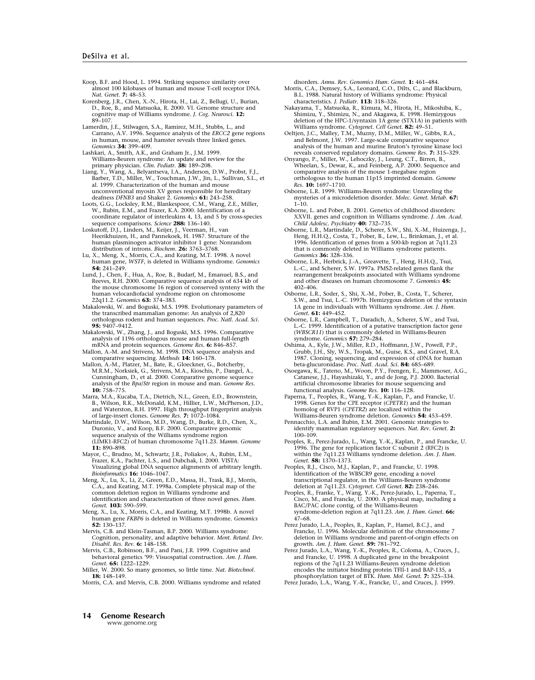Koop, B.F. and Hood, L. 1994. Striking sequence similarity over almost 100 kilobases of human and mouse T-cell receptor DNA. *Nat. Genet.* **7:** 48–53.

- Korenberg, J.R., Chen, X.-N., Hirota, H., Lai, Z., Bellugi, U., Burian, D., Roe, B., and Matsuoka, R. 2000. VI. Genome structure and cognitive map of Williams syndrome. *J. Cog. Neurosci.* **12:** 89–107.
- Lamerdin, J.E., Stilwagen, S.A., Ramirez, M.H., Stubbs, L., and Carrano, A.V. 1996. Sequence analysis of the *ERCC2* gene regions in human, mouse, and hamster reveals three linked genes. *Genomics* **34:** 399–409.
- Lashkari, A., Smith, A.K., and Graham Jr., J.M. 1999. Williams-Beuren syndrome: An update and review for the primary physician. *Clin. Pediatr.* **38:** 189–208.
- Liang, Y., Wang, A., Belyantseva, I.A., Anderson, D.W., Probst, F.J., Barber, T.D., Miller, W., Touchman, J.W., Jin, L., Sullivan, S.L., et al. 1999. Characterization of the human and mouse unconventional myosin XV genes responsible for hereditary deafness *DFNB3* and Shaker 2. *Genomics* **61:** 243–258.

Loots, G.G., Locksley, R.M., Blankespoor, C.M., Wang, Z.E., Miller, W., Rubin, E.M., and Frazer, K.A. 2000. Identification of a coordinate regulator of interleukins 4, 13, and 5 by cross-species sequence comparisons. *Science* **288:** 136–140.

Loskutoff, D.J., Linders, M., Keijer, J., Veerman, H., van Heerikhuizen, H., and Pannekoek, H. 1987. Structure of the human plasminogen activator inhibitor 1 gene: Nonrandom distribution of introns. *Biochem.* **26:** 3763–3768.

Lu, X., Meng, X., Morris, C.A., and Keating, M.T. 1998. A novel human gene, *WSTF*, is deleted in Williams syndrome. *Genomics* **54:** 241–249.

Lund, J., Chen, F., Hua, A., Roe, B., Budarf, M., Emanuel, B.S., and Reeves, R.H. 2000. Comparative sequence analysis of 634 kb of the mouse chromosome 16 region of conserved synteny with the human velocardiofacial syndrome region on chromosome 22q11.2. *Genomics* **63:** 374–383.

Makalowski, W. and Boguski, M.S. 1998. Evolutionary parameters of the transcribed mammalian genome: An analysis of 2,820 orthologous rodent and human sequences. *Proc. Natl. Acad. Sci.* **95:** 9407–9412.

Makalowski, W., Zhang, J., and Boguski, M.S. 1996. Comparative analysis of 1196 orthologous mouse and human full-length mRNA and protein sequences. *Genome Res.* **6:** 846–857.

Mallon, A.-M. and Strivens, M. 1998. DNA sequence analysis and comparative sequencing. *Methods* **14:** 160–178.

- Mallon, A.-M., Platzer, M., Bate, R., Gloeckner, G., Botcherby, M.R.M., Norksiek, G., Strivens, M.A., Kioschis, P., Dangel, A., Cunningham, D., et al. 2000. Comparative genome sequence analysis of the *Bpa*/*Str* region in mouse and man. *Genome Res.* **10:** 758–775.
- Marra, M.A., Kucaba, T.A., Dietrich, N.L., Green, E.D., Brownstein, B., Wilson, R.K., McDonald, K.M., Hillier, L.W., McPherson, J.D., and Waterston, R.H. 1997. High throughput fingerprint analysis of large-insert clones. *Genome Res.* **7:** 1072–1084.
- Martindale, D.W., Wilson, M.D., Wang, D., Burke, R.D., Chen, X., Duronio, V., and Koop, B.F. 2000. Comparative genomic sequence analysis of the Williams syndrome region (LIMK1-RFC2) of human chromosome 7q11.23. *Mamm. Genome* **11:** 890–898.

Mayor, C., Brudno, M., Schwartz, J.R., Poliakov, A., Rubin, E.M., Frazer, K.A., Pachter, L.S., and Dubchak, I. 2000. VISTA: Visualizing global DNA sequence alignments of arbitrary length. *Bioinformatics* **16:** 1046–1047.

Meng, X., Lu, X., Li, Z., Green, E.D., Massa, H., Trask, B.J., Morris, C.A., and Keating, M.T. 1998a. Complete physical map of the common deletion region in Williams syndrome and identification and characterization of three novel genes. *Hum. Genet.* **103:** 590–599.

- Meng, X., Lu, X., Morris, C.A., and Keating, M.T. 1998b. A novel human gene *FKBP6* is deleted in Williams syndrome. *Genomics* **52:** 130–137.
- Mervis, C.B. and Klein-Tasman, B.P. 2000. Williams syndrome: Cognition, personality, and adaptive behavior. *Ment. Retard. Dev. Disabil. Res. Rev.* **6:** 148–158.
- Mervis, C.B., Robinson, B.F., and Pani, J.R. 1999. Cognitive and behavioral genetics '99: Visuospatial construction. *Am. J. Hum. Genet.* **65:** 1222–1229.

Miller, W. 2000. So many genomes, so little time. *Nat. Biotechnol.* **18:** 148–149.

Morris, C.A. and Mervis, C.B. 2000. Williams syndrome and related

disorders. *Annu. Rev. Genomics Hum. Genet.* **1:** 461–484.

- Morris, C.A., Demsey, S.A., Leonard, C.O., Dilts, C., and Blackburn, B.L. 1988. Natural history of Williams syndrome: Physical characteristics. *J. Pediatr.* **113:** 318–326.
- Nakayama, T., Matsuoka, R., Kimura, M., Hirota, H., Mikoshiba, K., Shimizu, Y., Shimizu, N., and Akagawa, K. 1998. Hemizygous deletion of the HPC-1/syntaxin 1A gene (STX1A) in patients with Williams syndrome. *Cytogenet. Cell Genet.* **82:** 49–51.
- Oeltjen, J.C., Malley, T.M., Muzny, D.M., Miller, W., Gibbs, R.A., and Belmont, J.W. 1997. Large-scale comparative sequence analysis of the human and murine Bruton's tyrosine kinase loci reveals conserved regulatory domains. *Genome Res.* **7:** 315–329.
- Onyango, P., Miller, W., Lehoczky, J., Leung, C.T., Birren, B., Wheelan, S., Dewar, K., and Feinberg, A.P. 2000. Sequence and comparative analysis of the mouse 1-megabase region orthologous to the human 11p15 imprinted domain. *Genome Res.* **10:** 1697–1710.
- Osborne, L.R. 1999. Williams-Beuren syndrome: Unraveling the mysteries of a microdeletion disorder. *Molec. Genet. Metab.* **67:** 1–10.
- Osborne, L. and Pober, B. 2001. Genetics of childhood disorders: XXVII. genes and cognition in Williams syndrome. *J. Am. Acad. Child Adolesc. Psychiatry* **40:** 732–735.
- Osborne, L.R., Martindale, D., Scherer, S.W., Shi, X.-M., Huizenga, J., Heng, H.H.Q., Costa, T., Pober, B., Lew, L., Brinkman, J., et al. 1996. Identification of genes from a 500-kb region at 7q11.23 that is commonly deleted in Williams syndrome patients. *Genomics* **36:** 328–336.
- Osborne, L.R., Herbrick, J.-A., Greavette, T., Heng, H.H.Q., Tsui, L.-C., and Scherer, S.W. 1997a. PMS2-related genes flank the rearrangement breakpoints associated with Williams syndrome and other diseases on human chromosome 7. *Genomics* **45:** 402–406.

Osborne, L.R., Soder, S., Shi, X.-M., Pober, B., Costa, T., Scherer, S.W., and Tsui, L.-C. 1997b. Hemizygous deletion of the syntaxin 1A gene in individuals with Williams syndrome. *Am. J. Hum. Genet.* **61:** 449–452.

- Osborne, L.R., Campbell, T., Daradich, A., Scherer, S.W., and Tsui, L.-C. 1999. Identification of a putative transcription factor gene (*WBSCR11*) that is commonly deleted in Williams-Beuren syndrome. *Genomics* **57:** 279–284.
- Oshima, A., Kyle, J.W., Miller, R.D., Hoffmann, J.W., Powell, P.P., Grubb, J.H., Sly, W.S., Tropak, M., Guise, K.S., and Gravel, R.A. 1987. Cloning, sequencing, and expression of cDNA for human beta-glucuronidase. *Proc. Natl. Acad. Sci.* **84:** 685–689.
- Osoegawa, K., Tateno, M., Woon, P.Y., Frengen, E., Mammoser, A.G., Catanese, J.J., Hayashizaki, Y., and de Jong, P.J. 2000. Bacterial artificial chromosome libraries for mouse sequencing and functional analysis. *Genome Res.* **10:** 116–128.

Paperna, T., Peoples, R., Wang, Y.-K., Kaplan, P., and Francke, U. 1998. Genes for the CPE receptor (*CPETR1*) and the human homolog of RVP1 (*CPETR2*) are localized within the Williams-Beuren syndrome deletion. *Genomics* **54:** 453–459.

- Pennacchio, L.A. and Rubin, E.M. 2001. Genomic strategies to identify mammalian regulatory sequences. *Nat. Rev. Genet.* **2:** 100–109.
- Peoples, R., Perez-Jurado, L., Wang, Y.-K., Kaplan, P., and Francke, U. 1996. The gene for replication factor C subunit 2 (RFC2) is within the 7q11.23 Williams syndrome deletion. *Am. J. Hum. Genet.* **58:** 1370–1373.
- Peoples, R.J., Cisco, M.J., Kaplan, P., and Francke, U. 1998. Identification of the WBSCR9 gene, encoding a novel transcriptional regulator, in the Williams-Beuren syndrome deletion at 7q11.23. *Cytogenet. Cell Genet.* **82:** 238–246.
- Peoples, R., Franke, Y., Wang, Y.-K., Perez-Jurado, L., Paperna, T., Cisco, M., and Francke, U. 2000. A physical map, including a BAC/PAC clone contig, of the Williams-Beuren syndrome-deletion region at 7q11.23. *Am. J. Hum. Genet.* **66:** 47–68.
- Perez Jurado, L.A., Peoples, R., Kaplan, P., Hamel, B.C.J., and Francke, U. 1996. Molecular definition of the chromosome 7 deletion in Williams syndrome and parent-of-origin effects on
- growth. Am. J. Hum. Genet. **59:** 781–792.<br>Perez Jurado, L.A., Wang, Y.-K., Peoples, R., Coloma, A., Cruces, J.,<br>and Francke, U. 1998. A duplicated gene in the breakpoint<br>regions of the 7q11.23 Williams-Beuren syndrome dele encodes the initiator binding protein TFII-1 and BAP-135, a phosphorylation target of BTK. *Hum. Mol. Genet.* **7:** 325–334.
- Perez Jurado, L.A., Wang, Y.-K., Francke, U., and Cruces, J. 1999.